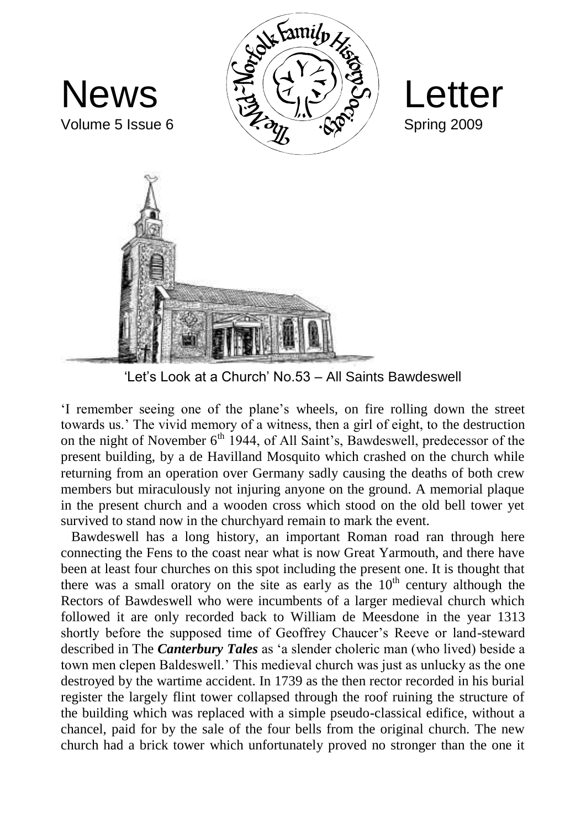

'Let's Look at a Church' No.53 – All Saints Bawdeswell

'I remember seeing one of the plane's wheels, on fire rolling down the street towards us.' The vivid memory of a witness, then a girl of eight, to the destruction on the night of November  $6<sup>th</sup>$  1944, of All Saint's, Bawdeswell, predecessor of the present building, by a de Havilland Mosquito which crashed on the church while returning from an operation over Germany sadly causing the deaths of both crew members but miraculously not injuring anyone on the ground. A memorial plaque in the present church and a wooden cross which stood on the old bell tower yet survived to stand now in the churchyard remain to mark the event.

 Bawdeswell has a long history, an important Roman road ran through here connecting the Fens to the coast near what is now Great Yarmouth, and there have been at least four churches on this spot including the present one. It is thought that there was a small oratory on the site as early as the  $10<sup>th</sup>$  century although the Rectors of Bawdeswell who were incumbents of a larger medieval church which followed it are only recorded back to William de Meesdone in the year 1313 shortly before the supposed time of Geoffrey Chaucer's Reeve or land-steward described in The *Canterbury Tales* as 'a slender choleric man (who lived) beside a town men clepen Baldeswell.' This medieval church was just as unlucky as the one destroyed by the wartime accident. In 1739 as the then rector recorded in his burial register the largely flint tower collapsed through the roof ruining the structure of the building which was replaced with a simple pseudo-classical edifice, without a chancel, paid for by the sale of the four bells from the original church. The new church had a brick tower which unfortunately proved no stronger than the one it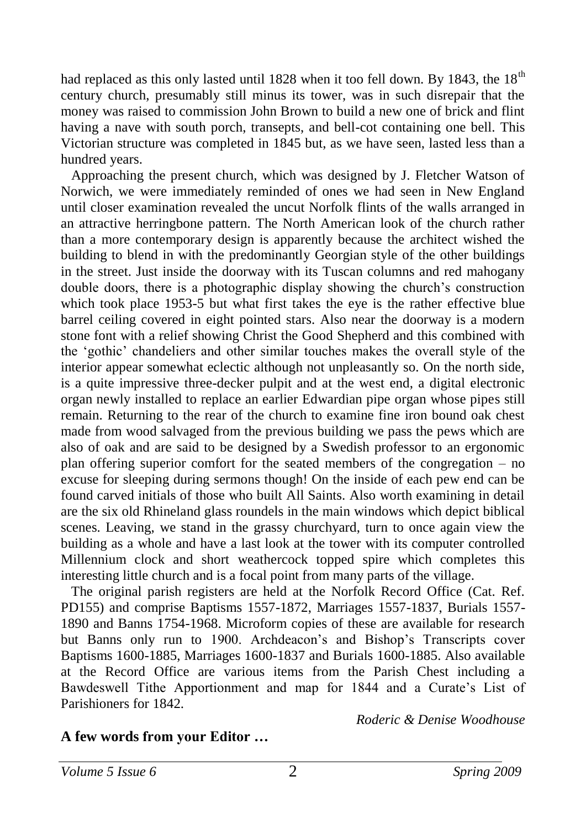had replaced as this only lasted until 1828 when it too fell down. By 1843, the  $18<sup>th</sup>$ century church, presumably still minus its tower, was in such disrepair that the money was raised to commission John Brown to build a new one of brick and flint having a nave with south porch, transepts, and bell-cot containing one bell. This Victorian structure was completed in 1845 but, as we have seen, lasted less than a hundred years.

 Approaching the present church, which was designed by J. Fletcher Watson of Norwich, we were immediately reminded of ones we had seen in New England until closer examination revealed the uncut Norfolk flints of the walls arranged in an attractive herringbone pattern. The North American look of the church rather than a more contemporary design is apparently because the architect wished the building to blend in with the predominantly Georgian style of the other buildings in the street. Just inside the doorway with its Tuscan columns and red mahogany double doors, there is a photographic display showing the church's construction which took place 1953-5 but what first takes the eye is the rather effective blue barrel ceiling covered in eight pointed stars. Also near the doorway is a modern stone font with a relief showing Christ the Good Shepherd and this combined with the 'gothic' chandeliers and other similar touches makes the overall style of the interior appear somewhat eclectic although not unpleasantly so. On the north side, is a quite impressive three-decker pulpit and at the west end, a digital electronic organ newly installed to replace an earlier Edwardian pipe organ whose pipes still remain. Returning to the rear of the church to examine fine iron bound oak chest made from wood salvaged from the previous building we pass the pews which are also of oak and are said to be designed by a Swedish professor to an ergonomic plan offering superior comfort for the seated members of the congregation – no excuse for sleeping during sermons though! On the inside of each pew end can be found carved initials of those who built All Saints. Also worth examining in detail are the six old Rhineland glass roundels in the main windows which depict biblical scenes. Leaving, we stand in the grassy churchyard, turn to once again view the building as a whole and have a last look at the tower with its computer controlled Millennium clock and short weathercock topped spire which completes this interesting little church and is a focal point from many parts of the village.

 The original parish registers are held at the Norfolk Record Office (Cat. Ref. PD155) and comprise Baptisms 1557-1872, Marriages 1557-1837, Burials 1557- 1890 and Banns 1754-1968. Microform copies of these are available for research but Banns only run to 1900. Archdeacon's and Bishop's Transcripts cover Baptisms 1600-1885, Marriages 1600-1837 and Burials 1600-1885. Also available at the Record Office are various items from the Parish Chest including a Bawdeswell Tithe Apportionment and map for 1844 and a Curate's List of Parishioners for 1842.

*Roderic & Denise Woodhouse*

#### **A few words from your Editor …**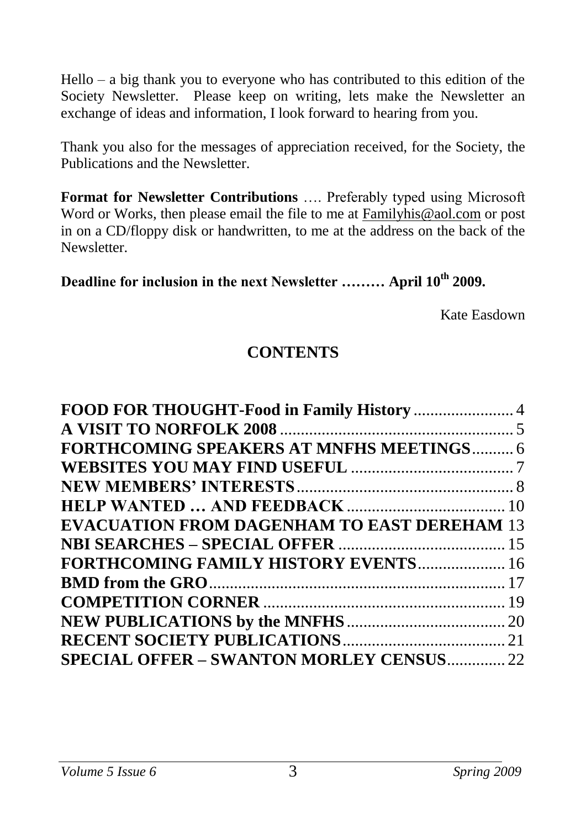Hello – a big thank you to everyone who has contributed to this edition of the Society Newsletter. Please keep on writing, lets make the Newsletter an exchange of ideas and information, I look forward to hearing from you.

Thank you also for the messages of appreciation received, for the Society, the Publications and the Newsletter.

**Format for Newsletter Contributions** …. Preferably typed using Microsoft Word or Works, then please email the file to me at [Familyhis@aol.com](mailto:Familyhis@aol.com) or post in on a CD/floppy disk or handwritten, to me at the address on the back of the Newsletter.

#### **Deadline for inclusion in the next Newsletter ……… April 10th 2009.**

Kate Easdown

### **CONTENTS**

| <b>FORTHCOMING SPEAKERS AT MNFHS MEETINGS 6</b>    |  |
|----------------------------------------------------|--|
|                                                    |  |
|                                                    |  |
|                                                    |  |
| <b>EVACUATION FROM DAGENHAM TO EAST DEREHAM 13</b> |  |
|                                                    |  |
| FORTHCOMING FAMILY HISTORY EVENTS 16               |  |
|                                                    |  |
|                                                    |  |
|                                                    |  |
|                                                    |  |
| SPECIAL OFFER - SWANTON MORLEY CENSUS 22           |  |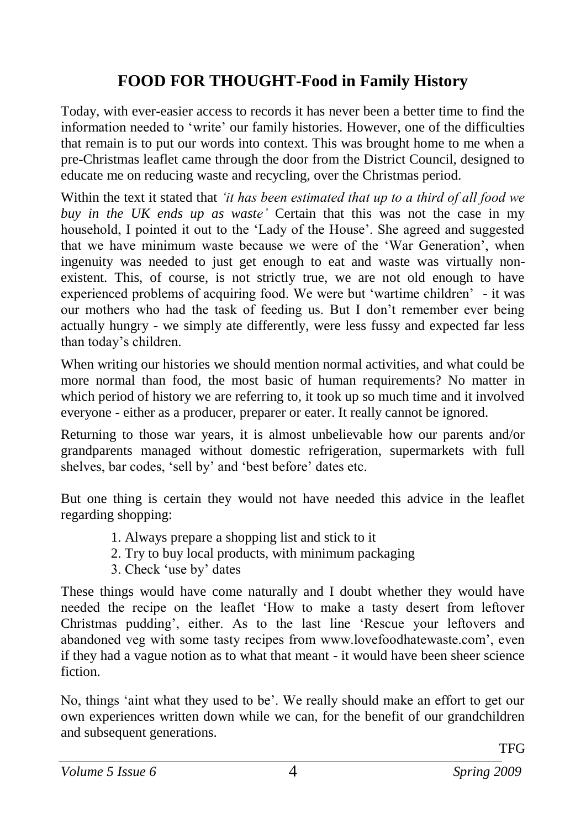## <span id="page-3-0"></span>**FOOD FOR THOUGHT-Food in Family History**

Today, with ever-easier access to records it has never been a better time to find the information needed to 'write' our family histories. However, one of the difficulties that remain is to put our words into context. This was brought home to me when a pre-Christmas leaflet came through the door from the District Council, designed to educate me on reducing waste and recycling, over the Christmas period.

Within the text it stated that *'it has been estimated that up to a third of all food we buy in the UK ends up as waste'* Certain that this was not the case in my household, I pointed it out to the 'Lady of the House'. She agreed and suggested that we have minimum waste because we were of the 'War Generation', when ingenuity was needed to just get enough to eat and waste was virtually nonexistent. This, of course, is not strictly true, we are not old enough to have experienced problems of acquiring food. We were but 'wartime children' - it was our mothers who had the task of feeding us. But I don't remember ever being actually hungry - we simply ate differently, were less fussy and expected far less than today's children.

When writing our histories we should mention normal activities, and what could be more normal than food, the most basic of human requirements? No matter in which period of history we are referring to, it took up so much time and it involved everyone - either as a producer, preparer or eater. It really cannot be ignored.

Returning to those war years, it is almost unbelievable how our parents and/or grandparents managed without domestic refrigeration, supermarkets with full shelves, bar codes, 'sell by' and 'best before' dates etc.

But one thing is certain they would not have needed this advice in the leaflet regarding shopping:

- 1. Always prepare a shopping list and stick to it
- 2. Try to buy local products, with minimum packaging
- 3. Check 'use by' dates

These things would have come naturally and I doubt whether they would have needed the recipe on the leaflet 'How to make a tasty desert from leftover Christmas pudding', either. As to the last line 'Rescue your leftovers and abandoned veg with some tasty recipes from www.lovefoodhatewaste.com', even if they had a vague notion as to what that meant - it would have been sheer science fiction.

No, things 'aint what they used to be'. We really should make an effort to get our own experiences written down while we can, for the benefit of our grandchildren and subsequent generations.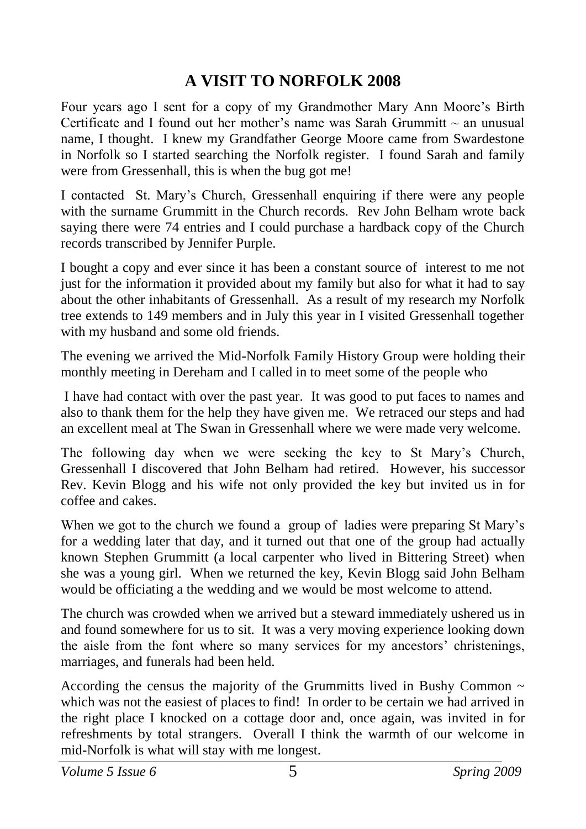#### <span id="page-4-0"></span>**A VISIT TO NORFOLK 2008**

Four years ago I sent for a copy of my Grandmother Mary Ann Moore's Birth Certificate and I found out her mother's name was Sarah Grummitt  $\sim$  an unusual name, I thought. I knew my Grandfather George Moore came from Swardestone in Norfolk so I started searching the Norfolk register. I found Sarah and family were from Gressenhall, this is when the bug got me!

I contacted St. Mary's Church, Gressenhall enquiring if there were any people with the surname Grummitt in the Church records. Rev John Belham wrote back saying there were 74 entries and I could purchase a hardback copy of the Church records transcribed by Jennifer Purple.

I bought a copy and ever since it has been a constant source of interest to me not just for the information it provided about my family but also for what it had to say about the other inhabitants of Gressenhall. As a result of my research my Norfolk tree extends to 149 members and in July this year in I visited Gressenhall together with my husband and some old friends.

The evening we arrived the Mid-Norfolk Family History Group were holding their monthly meeting in Dereham and I called in to meet some of the people who

I have had contact with over the past year. It was good to put faces to names and also to thank them for the help they have given me. We retraced our steps and had an excellent meal at The Swan in Gressenhall where we were made very welcome.

The following day when we were seeking the key to St Mary's Church, Gressenhall I discovered that John Belham had retired. However, his successor Rev. Kevin Blogg and his wife not only provided the key but invited us in for coffee and cakes.

When we got to the church we found a group of ladies were preparing St Mary's for a wedding later that day, and it turned out that one of the group had actually known Stephen Grummitt (a local carpenter who lived in Bittering Street) when she was a young girl. When we returned the key, Kevin Blogg said John Belham would be officiating a the wedding and we would be most welcome to attend.

The church was crowded when we arrived but a steward immediately ushered us in and found somewhere for us to sit. It was a very moving experience looking down the aisle from the font where so many services for my ancestors' christenings, marriages, and funerals had been held.

According the census the majority of the Grummitts lived in Bushy Common  $\sim$ which was not the easiest of places to find! In order to be certain we had arrived in the right place I knocked on a cottage door and, once again, was invited in for refreshments by total strangers. Overall I think the warmth of our welcome in mid-Norfolk is what will stay with me longest.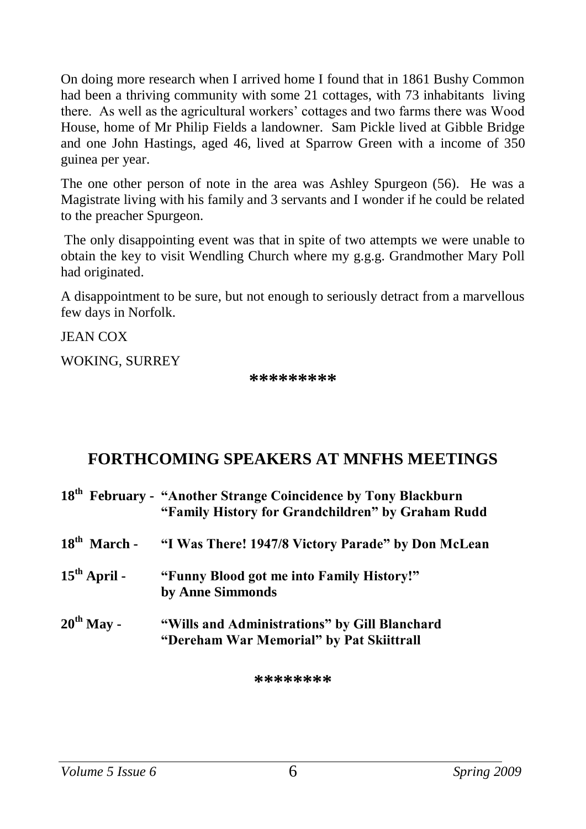<span id="page-5-0"></span>On doing more research when I arrived home I found that in 1861 Bushy Common had been a thriving community with some 21 cottages, with 73 inhabitants living there. As well as the agricultural workers' cottages and two farms there was Wood House, home of Mr Philip Fields a landowner. Sam Pickle lived at Gibble Bridge and one John Hastings, aged 46, lived at Sparrow Green with a income of 350 guinea per year.

The one other person of note in the area was Ashley Spurgeon (56). He was a Magistrate living with his family and 3 servants and I wonder if he could be related to the preacher Spurgeon.

The only disappointing event was that in spite of two attempts we were unable to obtain the key to visit Wendling Church where my g.g.g. Grandmother Mary Poll had originated.

A disappointment to be sure, but not enough to seriously detract from a marvellous few days in Norfolk.

**JEAN COX** 

WOKING, SURREY

**\*\*\*\*\*\*\*\*\***

#### **FORTHCOMING SPEAKERS AT MNFHS MEETINGS**

|                          | 18 <sup>th</sup> February - "Another Strange Coincidence by Tony Blackburn<br>"Family History for Grandchildren" by Graham Rudd |
|--------------------------|---------------------------------------------------------------------------------------------------------------------------------|
| $18th$ March -           | "I Was There! 1947/8 Victory Parade" by Don McLean                                                                              |
| $15^{\text{th}}$ April - | "Funny Blood got me into Family History!"<br>by Anne Simmonds                                                                   |
| $20^{\text{th}}$ May -   | "Wills and Administrations" by Gill Blanchard<br>"Dereham War Memorial" by Pat Skiittrall                                       |

**\*\*\*\*\*\*\*\***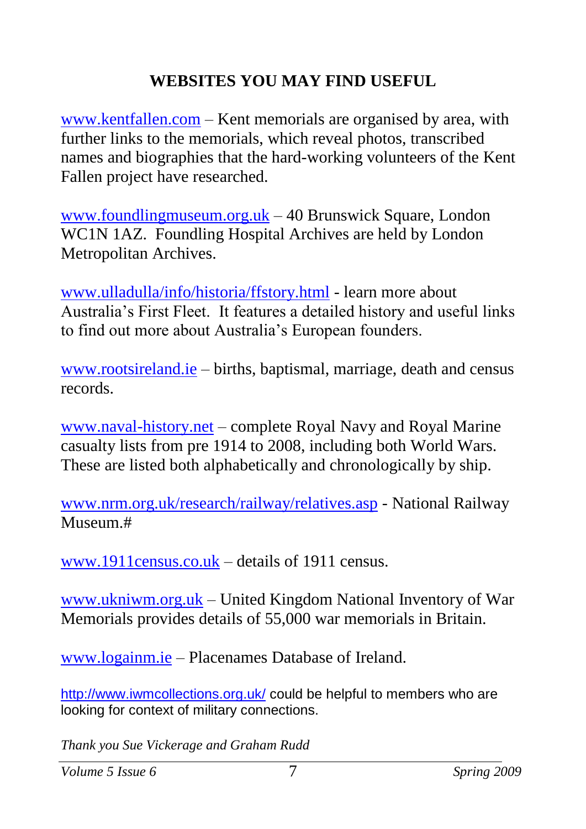## <span id="page-6-0"></span>**WEBSITES YOU MAY FIND USEFUL**

[www.kentfallen.com](http://www.kentfallen.com/) – Kent memorials are organised by area, with further links to the memorials, which reveal photos, transcribed names and biographies that the hard-working volunteers of the Kent Fallen project have researched.

[www.foundlingmuseum.org.uk](http://www.foundlingmuseum.org.uk/) – 40 Brunswick Square, London WC1N 1AZ. Foundling Hospital Archives are held by London Metropolitan Archives.

[www.ulladulla/info/historia/ffstory.html](http://www.ulladulla/info/historia/ffstory.html) - learn more about Australia's First Fleet. It features a detailed history and useful links to find out more about Australia's European founders.

[www.rootsireland.ie](http://www.rootsireland.ie/) – births, baptismal, marriage, death and census records.

[www.naval-history.net](http://www.naval-history.net/) – complete Royal Navy and Royal Marine casualty lists from pre 1914 to 2008, including both World Wars. These are listed both alphabetically and chronologically by ship.

[www.nrm.org.uk/research/railway/relatives.asp](http://www.nrm.org.uk/research/railway/relatives.asp) - National Railway Museum.#

[www.1911census.co.uk](http://www.1911census.co.uk/) – details of 1911 census.

[www.ukniwm.org.uk](http://www.ukniwm.org.uk/) – United Kingdom National Inventory of War Memorials provides details of 55,000 war memorials in Britain.

[www.logainm.ie](http://www.logainm.ie/) – Placenames Database of Ireland.

http://www.jwmcollections.org.uk/ could be helpful to members who are looking for context of military connections.

*Thank you Sue Vickerage and Graham Rudd*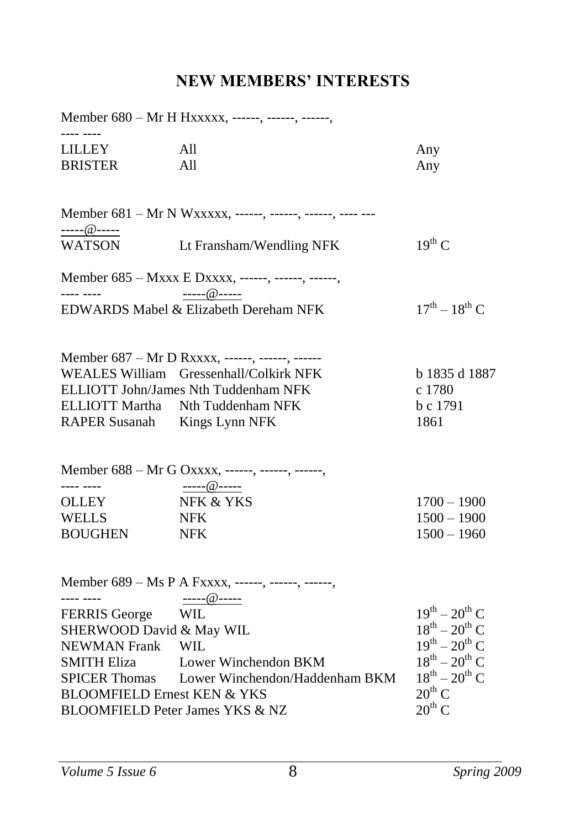## <span id="page-7-0"></span>**NEW MEMBERS' INTERESTS**

|                                                                                                                                      | Member 680 - Mr H Hxxxxx, ------, ------, ------,                                                                                                      |                                                                                                                                                                                      |
|--------------------------------------------------------------------------------------------------------------------------------------|--------------------------------------------------------------------------------------------------------------------------------------------------------|--------------------------------------------------------------------------------------------------------------------------------------------------------------------------------------|
| <b>LILLEY</b><br><b>BRISTER</b>                                                                                                      | All<br>A11                                                                                                                                             | Any<br>Any                                                                                                                                                                           |
|                                                                                                                                      | Member 681 - Mr N Wxxxxx, ------, ------, ------, ------                                                                                               |                                                                                                                                                                                      |
| <u>-----@-----</u><br><b>WATSON</b>                                                                                                  | Lt Fransham/Wendling NFK                                                                                                                               | $19^{th}$ C                                                                                                                                                                          |
|                                                                                                                                      | Member 685 - Mxxx E Dxxxx, ------, ------, ------,<br>$---@$ -----                                                                                     |                                                                                                                                                                                      |
|                                                                                                                                      | EDWARDS Mabel & Elizabeth Dereham NFK                                                                                                                  | $17^{th} - 18^{th}$ C                                                                                                                                                                |
| <b>ELLIOTT Martha</b><br>RAPER Susanah Kings Lynn NFK                                                                                | Member 687 - Mr D Rxxxx, ------, ------, ------<br>WEALES William Gressenhall/Colkirk NFK<br>ELLIOTT John/James Nth Tuddenham NFK<br>Nth Tuddenham NFK | b 1835 d 1887<br>c 1780<br>b c 1791<br>1861                                                                                                                                          |
| ---- ----                                                                                                                            | Member 688 - Mr G Oxxxx, ------, ------, ------,                                                                                                       |                                                                                                                                                                                      |
| <b>OLLEY</b><br><b>WELLS</b><br><b>BOUGHEN</b>                                                                                       | ----- $@$ -----<br>NFK & YKS<br><b>NFK</b><br><b>NFK</b>                                                                                               | $1700 - 1900$<br>$1500 - 1900$<br>$1500 - 1960$                                                                                                                                      |
| $\begin{array}{ccc} - & - & - & - \\ - & - & - & - \end{array}$                                                                      | Member 689 – Ms P A Fxxxx, ------, ------, ------,<br>----- $@$ -----                                                                                  |                                                                                                                                                                                      |
| <b>FERRIS</b> George<br>SHERWOOD David & May WIL<br>NEWMAN Frank WIL<br><b>SMITH Eliza</b><br><b>BLOOMFIELD Ernest KEN &amp; YKS</b> | <b>WIL</b><br>Lower Winchendon BKM<br>SPICER Thomas Lower Winchendon/Haddenham BKM<br>BLOOMFIELD Peter James YKS & NZ                                  | $19^{th} - 20^{th}$ C<br>$18^{th} - 20^{th}$ C<br>$19^{th} - 20^{th}$ C<br>$18^{\text{th}} - 20^{\text{th}}$ C<br>$18^{th} - 20^{th}$ C<br>$20^{\text{th}}$ C.<br>$20^{\text{th}}$ C |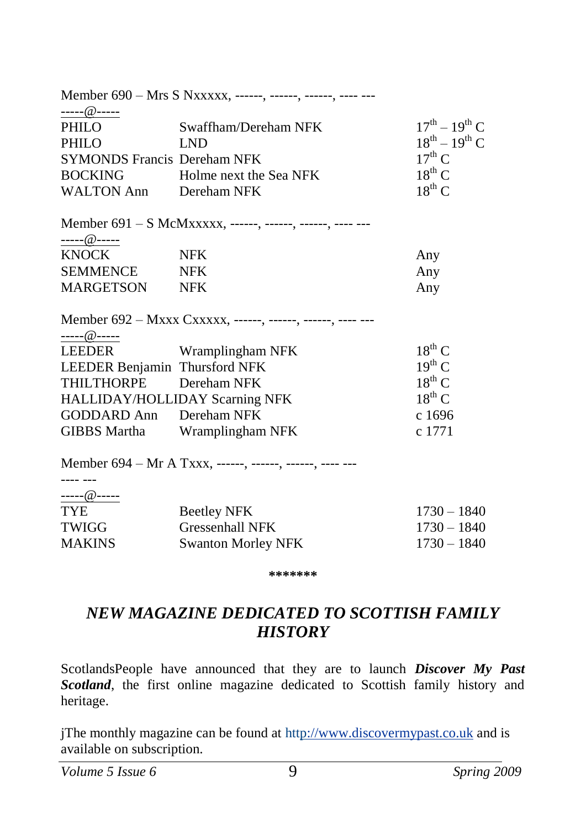| -----@-----<br>$17^{th} - 19^{th}$ C<br>PHILO<br>Swaffham/Dereham NFK |  |
|-----------------------------------------------------------------------|--|
|                                                                       |  |
| $18^{th} - 19^{th}$ C<br>PHILO<br><b>LND</b>                          |  |
| $17^{\text{th}}$ C<br><b>SYMONDS Francis Dereham NFK</b>              |  |
| $18^{th}$ C<br>BOCKING Holme next the Sea NFK                         |  |
| $18^{th}$ C<br>WALTON Ann Dereham NFK                                 |  |
| Member 691 – S McMxxxxx, ------, ------, ------, ------               |  |
| <u>-----@-----</u>                                                    |  |
| <b>KNOCK</b><br><b>NFK</b><br>Any                                     |  |
| SEMMENCE NFK<br>Any                                                   |  |
| MARGETSON NFK<br>Any                                                  |  |
| Member 692 - Mxxx Cxxxxx, ------, ------, ------, ---- --             |  |
| $\underbrace{\cdots \cdots \omega \cdots}_{\cdots}$                   |  |
| $18^{th}$ C<br><b>LEEDER</b><br>Wramplingham NFK                      |  |
| $19^{th}$ C<br>LEEDER Benjamin Thursford NFK                          |  |
| $18^{th}$ C<br>THILTHORPE Dereham NFK                                 |  |
| $18^{th}$ C<br>HALLIDAY/HOLLIDAY Scarning NFK                         |  |
| GODDARD Ann Dereham NFK<br>c 1696                                     |  |
| c 1771<br>GIBBS Martha<br>Wramplingham NFK                            |  |
| Member 694 - Mr A Txxx, ------, ------, ------, ---- ---              |  |
|                                                                       |  |
|                                                                       |  |
| <b>TYE</b><br>$1730 - 1840$<br><b>Beetley NFK</b>                     |  |
| <b>Gressenhall NFK</b><br>TWIGG<br>$1730 - 1840$                      |  |
| <b>MAKINS</b><br><b>Swanton Morley NFK</b><br>$1730 - 1840$           |  |

**\*\*\*\*\*\*\***

### *NEW MAGAZINE DEDICATED TO SCOTTISH FAMILY HISTORY*

ScotlandsPeople have announced that they are to launch *Discover My Past Scotland*, the first online magazine dedicated to Scottish family history and heritage.

jThe monthly magazine can be found at ht[tp://www.discovermypast.co.uk](http://www.discovermypast.co.uk/) and is available on subscription.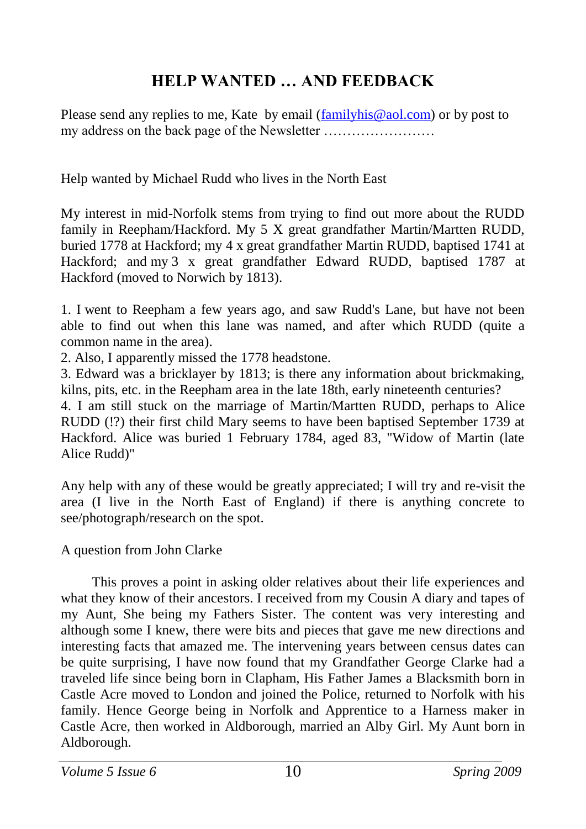### <span id="page-9-0"></span>**HELP WANTED … AND FEEDBACK**

Please send any replies to me, Kate by email [\(familyhis@aol.com\)](mailto:familyhis@aol.com) or by post to my address on the back page of the Newsletter ……………………

Help wanted by Michael Rudd who lives in the North East

My interest in mid-Norfolk stems from trying to find out more about the RUDD family in Reepham/Hackford. My 5 X great grandfather Martin/Martten RUDD, buried 1778 at Hackford; my 4 x great grandfather Martin RUDD, baptised 1741 at Hackford; and my 3 x great grandfather Edward RUDD, baptised 1787 at Hackford (moved to Norwich by 1813).

1. I went to Reepham a few years ago, and saw Rudd's Lane, but have not been able to find out when this lane was named, and after which RUDD (quite a common name in the area).

2. Also, I apparently missed the 1778 headstone.

3. Edward was a bricklayer by 1813; is there any information about brickmaking, kilns, pits, etc. in the Reepham area in the late 18th, early nineteenth centuries?

4. I am still stuck on the marriage of Martin/Martten RUDD, perhaps to Alice RUDD (!?) their first child Mary seems to have been baptised September 1739 at Hackford. Alice was buried 1 February 1784, aged 83, "Widow of Martin (late Alice Rudd)"

Any help with any of these would be greatly appreciated; I will try and re-visit the area (I live in the North East of England) if there is anything concrete to see/photograph/research on the spot.

#### A question from John Clarke

This proves a point in asking older relatives about their life experiences and what they know of their ancestors. I received from my Cousin A diary and tapes of my Aunt, She being my Fathers Sister. The content was very interesting and although some I knew, there were bits and pieces that gave me new directions and interesting facts that amazed me. The intervening years between census dates can be quite surprising, I have now found that my Grandfather George Clarke had a traveled life since being born in Clapham, His Father James a Blacksmith born in Castle Acre moved to London and joined the Police, returned to Norfolk with his family. Hence George being in Norfolk and Apprentice to a Harness maker in Castle Acre, then worked in Aldborough, married an Alby Girl. My Aunt born in Aldborough.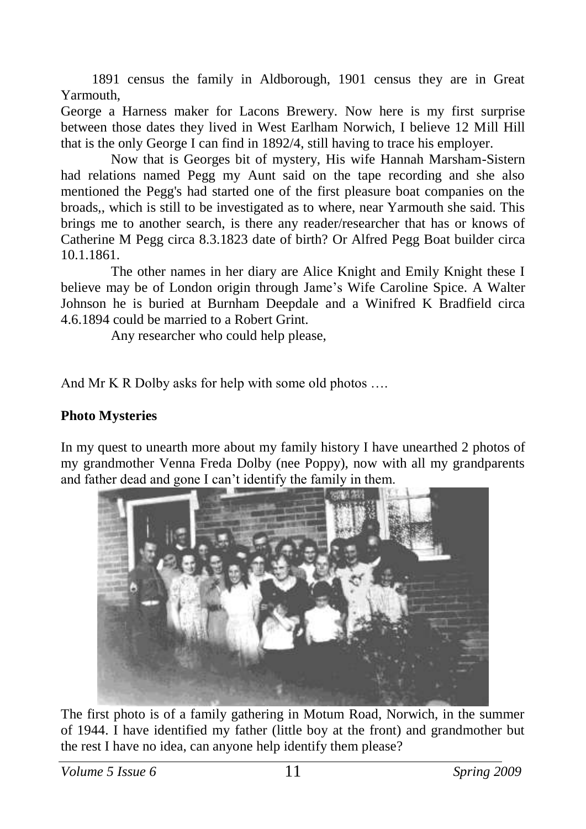1891 census the family in Aldborough, 1901 census they are in Great Yarmouth,

George a Harness maker for Lacons Brewery. Now here is my first surprise between those dates they lived in West Earlham Norwich, I believe 12 Mill Hill that is the only George I can find in 1892/4, still having to trace his employer.

Now that is Georges bit of mystery, His wife Hannah Marsham-Sistern had relations named Pegg my Aunt said on the tape recording and she also mentioned the Pegg's had started one of the first pleasure boat companies on the broads,, which is still to be investigated as to where, near Yarmouth she said. This brings me to another search, is there any reader/researcher that has or knows of Catherine M Pegg circa 8.3.1823 date of birth? Or Alfred Pegg Boat builder circa 10.1.1861.

The other names in her diary are Alice Knight and Emily Knight these I believe may be of London origin through Jame's Wife Caroline Spice. A Walter Johnson he is buried at Burnham Deepdale and a Winifred K Bradfield circa 4.6.1894 could be married to a Robert Grint.

Any researcher who could help please,

And Mr K R Dolby asks for help with some old photos ….

#### **Photo Mysteries**

In my quest to unearth more about my family history I have unearthed 2 photos of my grandmother Venna Freda Dolby (nee Poppy), now with all my grandparents and father dead and gone I can't identify the family in them.



The first photo is of a family gathering in Motum Road, Norwich, in the summer of 1944. I have identified my father (little boy at the front) and grandmother but the rest I have no idea, can anyone help identify them please?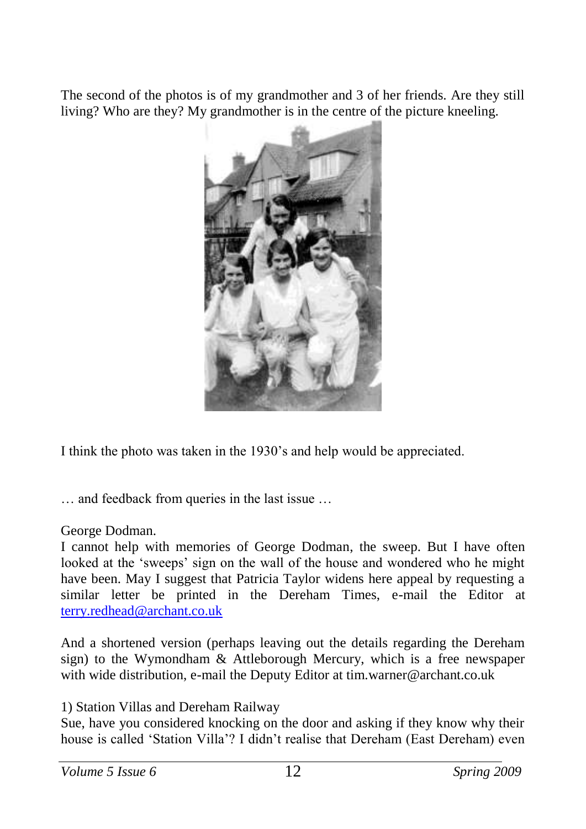The second of the photos is of my grandmother and 3 of her friends. Are they still living? Who are they? My grandmother is in the centre of the picture kneeling.



I think the photo was taken in the 1930's and help would be appreciated.

… and feedback from queries in the last issue …

#### George Dodman.

I cannot help with memories of George Dodman, the sweep. But I have often looked at the 'sweeps' sign on the wall of the house and wondered who he might have been. May I suggest that Patricia Taylor widens here appeal by requesting a similar letter be printed in the Dereham Times, e-mail the Editor at [terry.redhead@archant.co.uk](mailto:terry.redhead@archant.co.uk)

And a shortened version (perhaps leaving out the details regarding the Dereham sign) to the Wymondham & Attleborough Mercury, which is a free newspaper with wide distribution, e-mail the Deputy Editor at tim.warner@archant.co.uk

1) Station Villas and Dereham Railway

Sue, have you considered knocking on the door and asking if they know why their house is called 'Station Villa'? I didn't realise that Dereham (East Dereham) even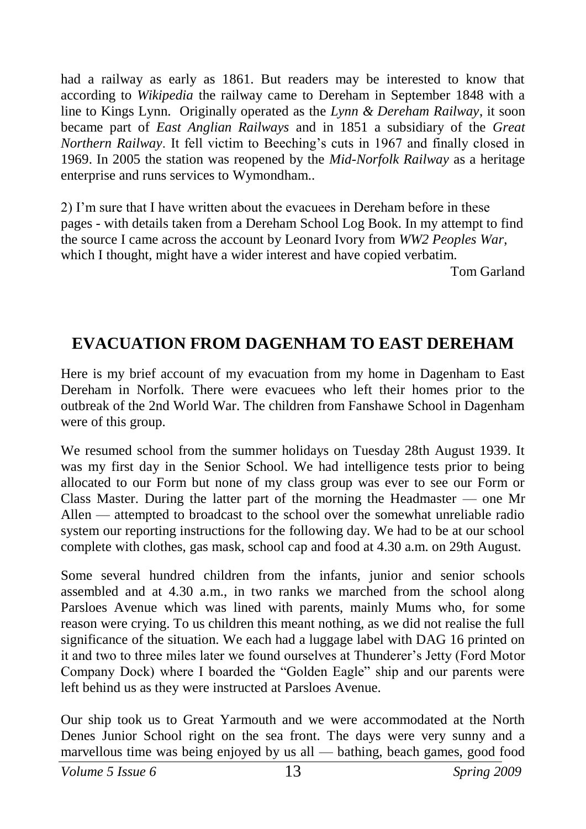had a railway as early as 1861. But readers may be interested to know that according to *Wikipedia* the railway came to Dereham in September 1848 with a line to Kings Lynn. Originally operated as the *Lynn & Dereham Railway*, it soon became part of *East Anglian Railways* and in 1851 a subsidiary of the *Great Northern Railway*. It fell victim to Beeching's cuts in 1967 and finally closed in 1969. In 2005 the station was reopened by the *Mid-Norfolk Railway* as a heritage enterprise and runs services to Wymondham..

2) I'm sure that I have written about the evacuees in Dereham before in these pages - with details taken from a Dereham School Log Book. In my attempt to find the source I came across the account by Leonard Ivory from *WW2 Peoples War*, which I thought, might have a wider interest and have copied verbatim.

<span id="page-12-0"></span>Tom Garland

## **EVACUATION FROM DAGENHAM TO EAST DEREHAM**

Here is my brief account of my evacuation from my home in Dagenham to East Dereham in Norfolk. There were evacuees who left their homes prior to the outbreak of the 2nd World War. The children from Fanshawe School in Dagenham were of this group.

We resumed school from the summer holidays on Tuesday 28th August 1939. It was my first day in the Senior School. We had intelligence tests prior to being allocated to our Form but none of my class group was ever to see our Form or Class Master. During the latter part of the morning the Headmaster — one Mr Allen — attempted to broadcast to the school over the somewhat unreliable radio system our reporting instructions for the following day. We had to be at our school complete with clothes, gas mask, school cap and food at 4.30 a.m. on 29th August.

Some several hundred children from the infants, junior and senior schools assembled and at 4.30 a.m., in two ranks we marched from the school along Parsloes Avenue which was lined with parents, mainly Mums who, for some reason were crying. To us children this meant nothing, as we did not realise the full significance of the situation. We each had a luggage label with DAG 16 printed on it and two to three miles later we found ourselves at Thunderer's Jetty (Ford Motor Company Dock) where I boarded the "Golden Eagle" ship and our parents were left behind us as they were instructed at Parsloes Avenue.

Our ship took us to Great Yarmouth and we were accommodated at the North Denes Junior School right on the sea front. The days were very sunny and a marvellous time was being enjoyed by us all — bathing, beach games, good food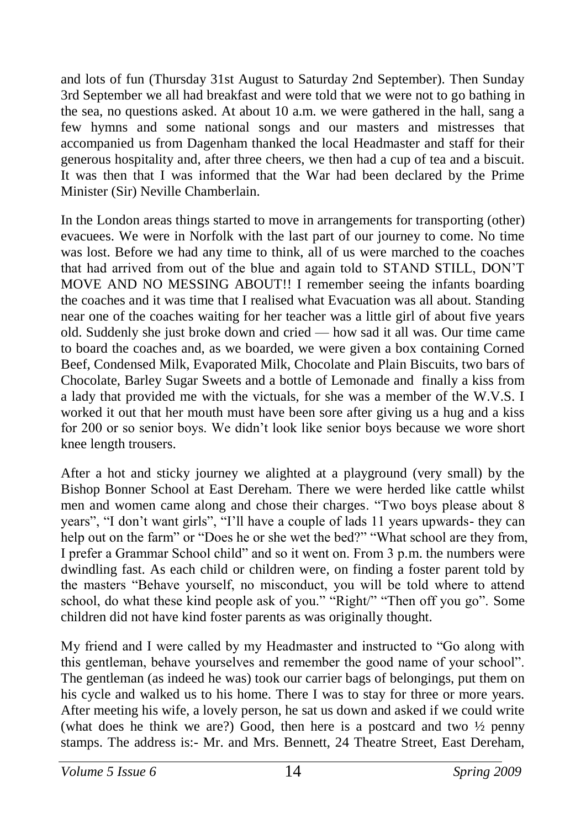and lots of fun (Thursday 31st August to Saturday 2nd September). Then Sunday 3rd September we all had breakfast and were told that we were not to go bathing in the sea, no questions asked. At about 10 a.m. we were gathered in the hall, sang a few hymns and some national songs and our masters and mistresses that accompanied us from Dagenham thanked the local Headmaster and staff for their generous hospitality and, after three cheers, we then had a cup of tea and a biscuit. It was then that I was informed that the War had been declared by the Prime Minister (Sir) Neville Chamberlain.

In the London areas things started to move in arrangements for transporting (other) evacuees. We were in Norfolk with the last part of our journey to come. No time was lost. Before we had any time to think, all of us were marched to the coaches that had arrived from out of the blue and again told to STAND STILL, DON'T MOVE AND NO MESSING ABOUT!! I remember seeing the infants boarding the coaches and it was time that I realised what Evacuation was all about. Standing near one of the coaches waiting for her teacher was a little girl of about five years old. Suddenly she just broke down and cried — how sad it all was. Our time came to board the coaches and, as we boarded, we were given a box containing Corned Beef, Condensed Milk, Evaporated Milk, Chocolate and Plain Biscuits, two bars of Chocolate, Barley Sugar Sweets and a bottle of Lemonade and finally a kiss from a lady that provided me with the victuals, for she was a member of the W.V.S. I worked it out that her mouth must have been sore after giving us a hug and a kiss for 200 or so senior boys. We didn't look like senior boys because we wore short knee length trousers.

After a hot and sticky journey we alighted at a playground (very small) by the Bishop Bonner School at East Dereham. There we were herded like cattle whilst men and women came along and chose their charges. "Two boys please about 8 years", "I don't want girls", "I'll have a couple of lads 11 years upwards- they can help out on the farm" or "Does he or she wet the bed?" "What school are they from, I prefer a Grammar School child" and so it went on. From 3 p.m. the numbers were dwindling fast. As each child or children were, on finding a foster parent told by the masters "Behave yourself, no misconduct, you will be told where to attend school, do what these kind people ask of you." "Right/" "Then off you go". Some children did not have kind foster parents as was originally thought.

My friend and I were called by my Headmaster and instructed to "Go along with this gentleman, behave yourselves and remember the good name of your school". The gentleman (as indeed he was) took our carrier bags of belongings, put them on his cycle and walked us to his home. There I was to stay for three or more years. After meeting his wife, a lovely person, he sat us down and asked if we could write (what does he think we are?) Good, then here is a postcard and two ½ penny stamps. The address is:- Mr. and Mrs. Bennett, 24 Theatre Street, East Dereham,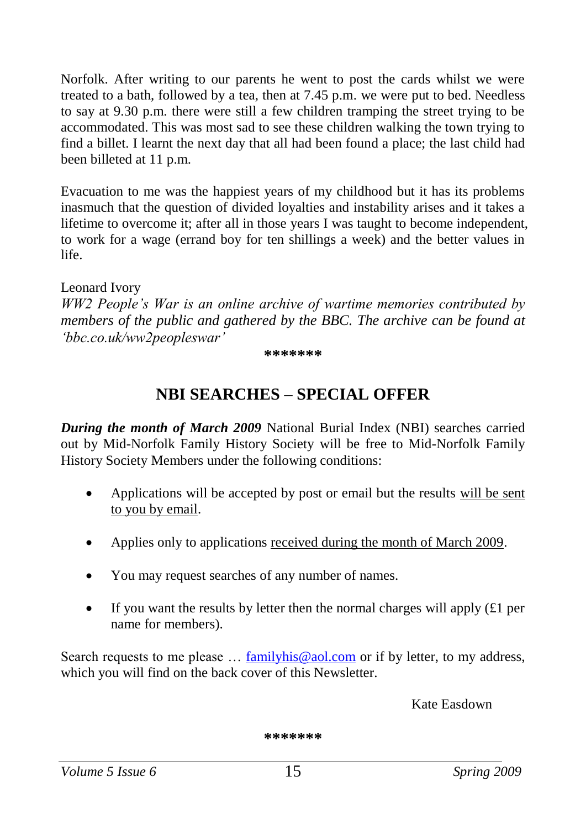Norfolk. After writing to our parents he went to post the cards whilst we were treated to a bath, followed by a tea, then at 7.45 p.m. we were put to bed. Needless to say at 9.30 p.m. there were still a few children tramping the street trying to be accommodated. This was most sad to see these children walking the town trying to find a billet. I learnt the next day that all had been found a place; the last child had been billeted at 11 p.m.

Evacuation to me was the happiest years of my childhood but it has its problems inasmuch that the question of divided loyalties and instability arises and it takes a lifetime to overcome it; after all in those years I was taught to become independent, to work for a wage (errand boy for ten shillings a week) and the better values in life.

Leonard Ivory

*WW2 People's War is an online archive of wartime memories contributed by members of the public and gathered by the BBC. The archive can be found at 'bbc.co.uk/ww2peopleswar'*

#### <span id="page-14-0"></span>**\*\*\*\*\*\*\***

#### **NBI SEARCHES – SPECIAL OFFER**

*During the month of March 2009* National Burial Index (NBI) searches carried out by Mid-Norfolk Family History Society will be free to Mid-Norfolk Family History Society Members under the following conditions:

- Applications will be accepted by post or email but the results will be sent to you by email.
- Applies only to applications received during the month of March 2009.
- You may request searches of any number of names.
- If you want the results by letter then the normal charges will apply  $(E1$  per name for members).

Search requests to me please ... [familyhis@aol.com](mailto:familyhis@aol.com) or if by letter, to my address, which you will find on the back cover of this Newsletter.

Kate Easdown

**\*\*\*\*\*\*\***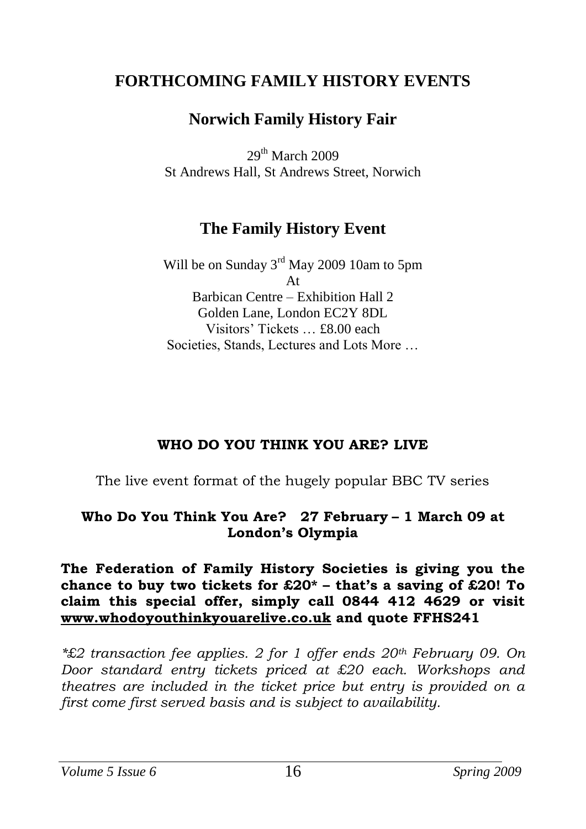#### **FORTHCOMING FAMILY HISTORY EVENTS**

### <span id="page-15-0"></span>**Norwich Family History Fair**

 $29<sup>th</sup>$  March  $2009$ St Andrews Hall, St Andrews Street, Norwich

#### **The Family History Event**

Will be on Sunday 3<sup>rd</sup> May 2009 10am to 5pm  $A +$ Barbican Centre – Exhibition Hall 2 Golden Lane, London EC2Y 8DL Visitors' Tickets … £8.00 each Societies, Stands, Lectures and Lots More …

#### **WHO DO YOU THINK YOU ARE? LIVE**

The live event format of the hugely popular BBC TV series

#### **Who Do You Think You Are? 27 February – 1 March 09 at London's Olympia**

#### **The Federation of Family History Societies is giving you the chance to buy two tickets for £20\* – that's a saving of £20! To claim this special offer, simply call 0844 412 4629 or visit [www.whodoyouthinkyouarelive.co.uk](http://www.whodoyouthinkyouarelive.co.uk/) and quote FFHS241**

*\*£2 transaction fee applies. 2 for 1 offer ends 20th February 09. On Door standard entry tickets priced at £20 each. Workshops and theatres are included in the ticket price but entry is provided on a first come first served basis and is subject to availability.*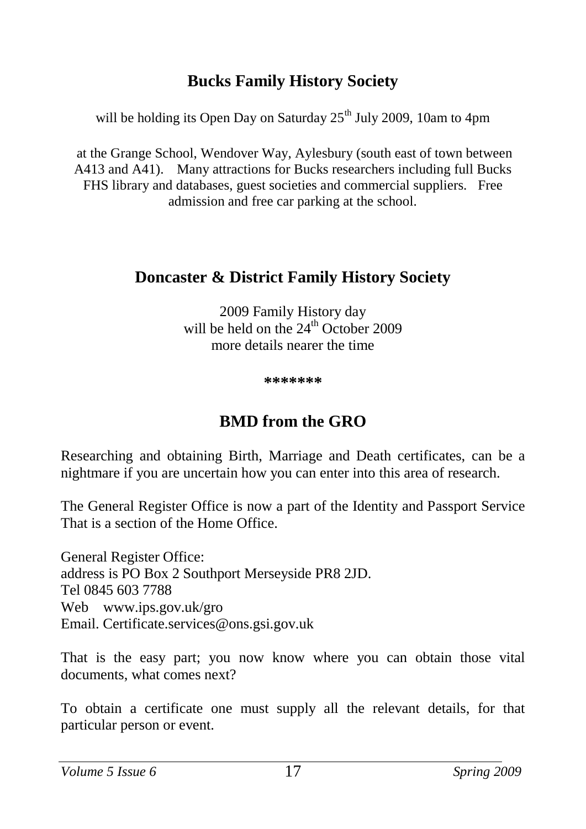## **Bucks Family History Society**

will be holding its Open Day on Saturday  $25<sup>th</sup>$  July 2009, 10am to 4pm

at the Grange School, Wendover Way, Aylesbury (south east of town between A413 and A41). Many attractions for Bucks researchers including full Bucks FHS library and databases, guest societies and commercial suppliers. Free admission and free car parking at the school.

### **Doncaster & District Family History Society**

2009 Family History day will be held on the  $24<sup>th</sup>$  October 2009 more details nearer the time

<span id="page-16-0"></span>**\*\*\*\*\*\*\***

#### **BMD from the GRO**

Researching and obtaining Birth, Marriage and Death certificates, can be a nightmare if you are uncertain how you can enter into this area of research.

The General Register Office is now a part of the Identity and Passport Service That is a section of the Home Office.

General Register Office: address is PO Box 2 Southport Merseyside PR8 2JD. Tel 0845 603 7788 Web www.ips.gov.uk/gro Email. Certificate.services@ons.gsi.gov.uk

That is the easy part; you now know where you can obtain those vital documents, what comes next?

To obtain a certificate one must supply all the relevant details, for that particular person or event.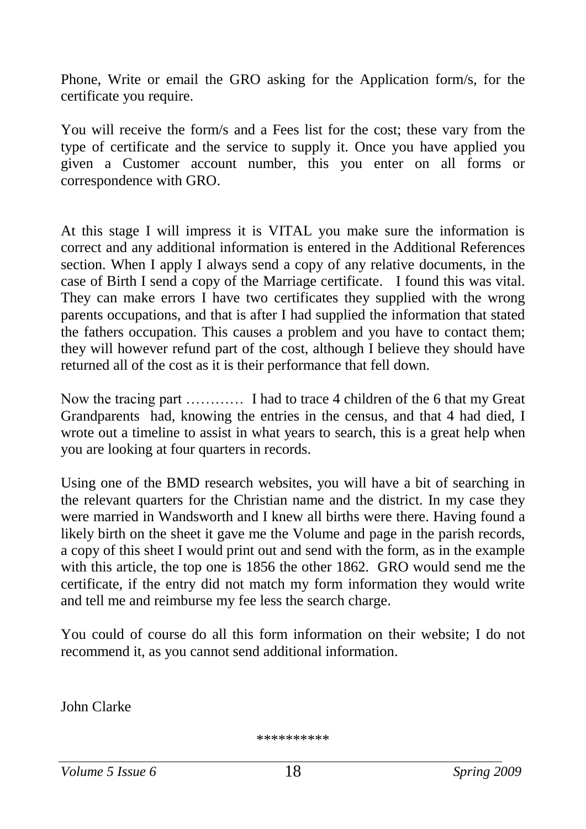Phone, Write or email the GRO asking for the Application form/s, for the certificate you require.

You will receive the form/s and a Fees list for the cost; these vary from the type of certificate and the service to supply it. Once you have applied you given a Customer account number, this you enter on all forms or correspondence with GRO.

At this stage I will impress it is VITAL you make sure the information is correct and any additional information is entered in the Additional References section. When I apply I always send a copy of any relative documents, in the case of Birth I send a copy of the Marriage certificate. I found this was vital. They can make errors I have two certificates they supplied with the wrong parents occupations, and that is after I had supplied the information that stated the fathers occupation. This causes a problem and you have to contact them; they will however refund part of the cost, although I believe they should have returned all of the cost as it is their performance that fell down.

Now the tracing part ………… I had to trace 4 children of the 6 that my Great Grandparents had, knowing the entries in the census, and that 4 had died, I wrote out a timeline to assist in what years to search, this is a great help when you are looking at four quarters in records.

Using one of the BMD research websites, you will have a bit of searching in the relevant quarters for the Christian name and the district. In my case they were married in Wandsworth and I knew all births were there. Having found a likely birth on the sheet it gave me the Volume and page in the parish records, a copy of this sheet I would print out and send with the form, as in the example with this article, the top one is 1856 the other 1862. GRO would send me the certificate, if the entry did not match my form information they would write and tell me and reimburse my fee less the search charge.

You could of course do all this form information on their website; I do not recommend it, as you cannot send additional information.

John Clarke

\*\*\*\*\*\*\*\*\*\*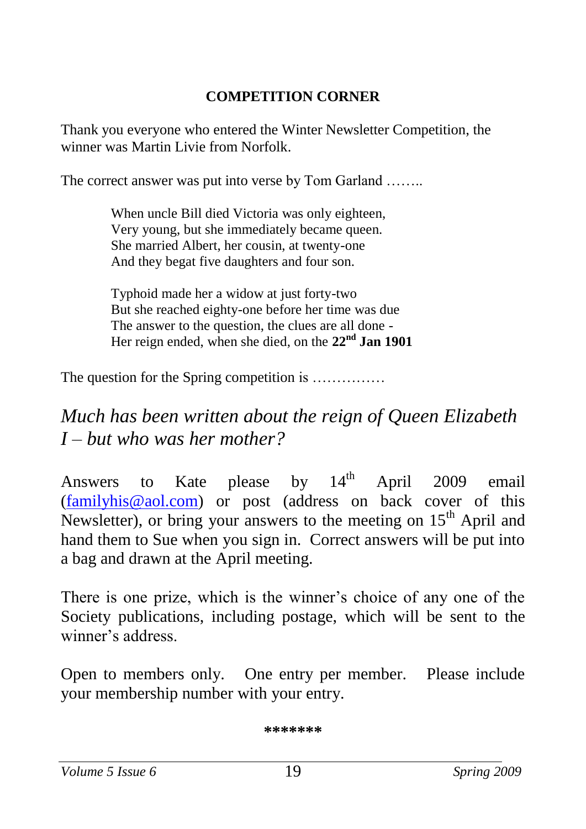#### <span id="page-18-0"></span>**COMPETITION CORNER**

Thank you everyone who entered the Winter Newsletter Competition, the winner was Martin Livie from Norfolk.

The correct answer was put into verse by Tom Garland ……..

When uncle Bill died Victoria was only eighteen, Very young, but she immediately became queen. She married Albert, her cousin, at twenty-one And they begat five daughters and four son.

Typhoid made her a widow at just forty-two But she reached eighty-one before her time was due The answer to the question, the clues are all done - Her reign ended, when she died, on the **22nd Jan 1901**

The question for the Spring competition is ..............

# *Much has been written about the reign of Queen Elizabeth I – but who was her mother?*

Answers to Kate please by  $14<sup>th</sup>$  April 2009 email [\(familyhis@aol.com\)](mailto:familyhis@aol.com) or post (address on back cover of this Newsletter), or bring your answers to the meeting on  $15<sup>th</sup>$  April and hand them to Sue when you sign in. Correct answers will be put into a bag and drawn at the April meeting.

There is one prize, which is the winner's choice of any one of the Society publications, including postage, which will be sent to the winner's address.

Open to members only. One entry per member. Please include your membership number with your entry.

**\*\*\*\*\*\*\***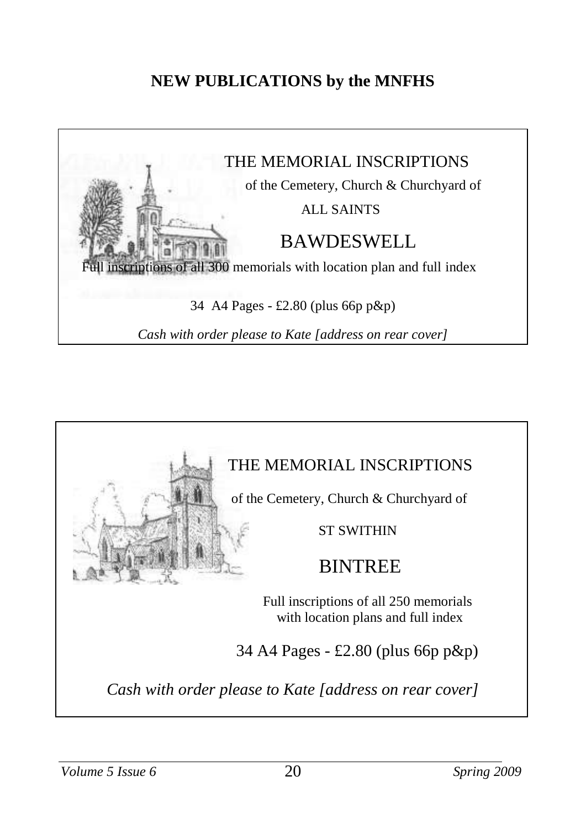## <span id="page-19-0"></span>**NEW PUBLICATIONS by the MNFHS**



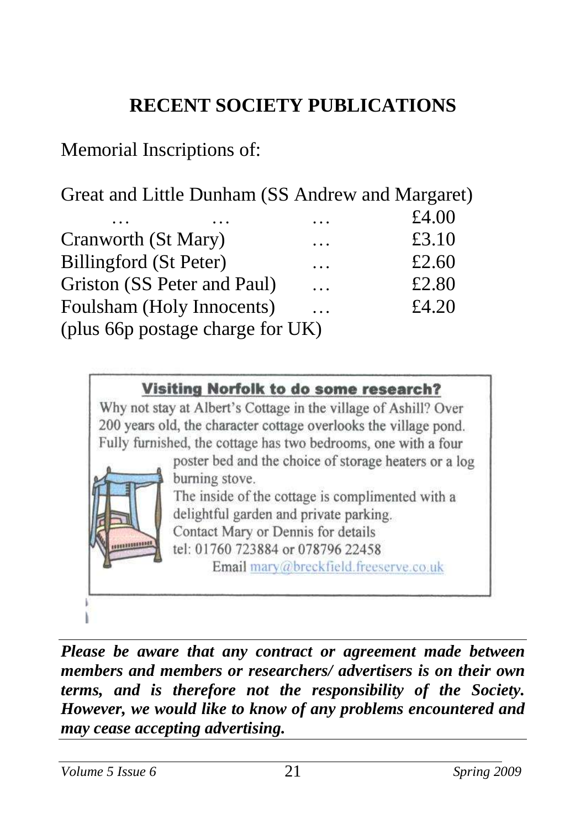# <span id="page-20-0"></span>**RECENT SOCIETY PUBLICATIONS**

# Memorial Inscriptions of:

Great and Little Dunham (SS Andrew and Margaret)

|                                  | .        | £4.00 |
|----------------------------------|----------|-------|
| Cranworth (St Mary)              | .        | £3.10 |
| Billingford (St Peter)           | .        | £2.60 |
| Griston (SS Peter and Paul)      | $\cdots$ | £2.80 |
| Foulsham (Holy Innocents)        | $\cdots$ | £4.20 |
| (plus 66p postage charge for UK) |          |       |

#### Visiting Norfolk to do some research?

Why not stay at Albert's Cottage in the village of Ashill? Over 200 years old, the character cottage overlooks the village pond. Fully furnished, the cottage has two bedrooms, one with a four

poster bed and the choice of storage heaters or a log burning stove.

The inside of the cottage is complimented with a delightful garden and private parking. Contact Mary or Dennis for details

tel: 01760 723884 or 078796 22458

Email mary@breckfield.freeserve.co.uk

*Please be aware that any contract or agreement made between members and members or researchers/ advertisers is on their own terms, and is therefore not the responsibility of the Society. However, we would like to know of any problems encountered and may cease accepting advertising.*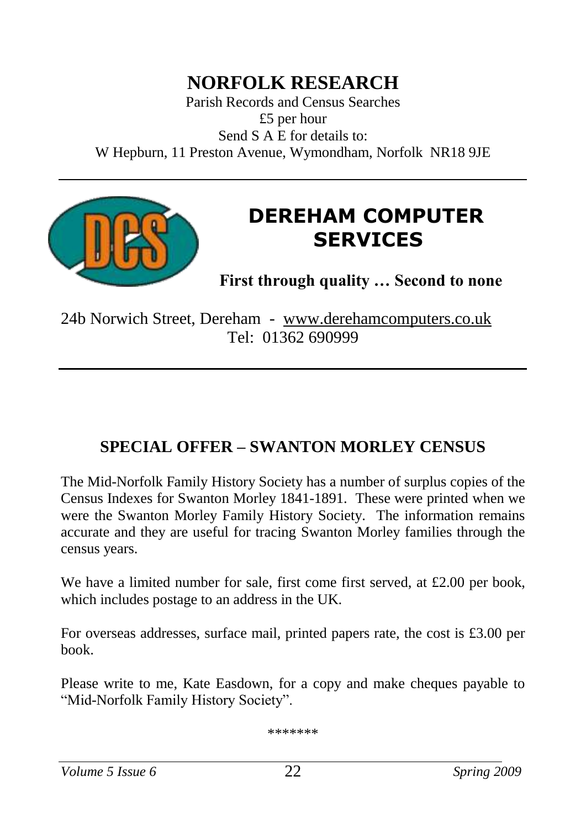# **NORFOLK RESEARCH**

Parish Records and Census Searches £5 per hour Send S A E for details to: W Hepburn, 11 Preston Avenue, Wymondham, Norfolk NR18 9JE



# **DEREHAM COMPUTER SERVICES**

<span id="page-21-0"></span>**First through quality … Second to none**

24b Norwich Street, Dereham - [www.derehamcomputers.co.uk](http://www.derehamcomputers.co.uk/) Tel: 01362 690999

## **SPECIAL OFFER – SWANTON MORLEY CENSUS**

The Mid-Norfolk Family History Society has a number of surplus copies of the Census Indexes for Swanton Morley 1841-1891. These were printed when we were the Swanton Morley Family History Society. The information remains accurate and they are useful for tracing Swanton Morley families through the census years.

We have a limited number for sale, first come first served, at  $\text{\pounds}2.00$  per book, which includes postage to an address in the UK.

For overseas addresses, surface mail, printed papers rate, the cost is £3.00 per book.

Please write to me, Kate Easdown, for a copy and make cheques payable to "Mid-Norfolk Family History Society".

\*\*\*\*\*\*\*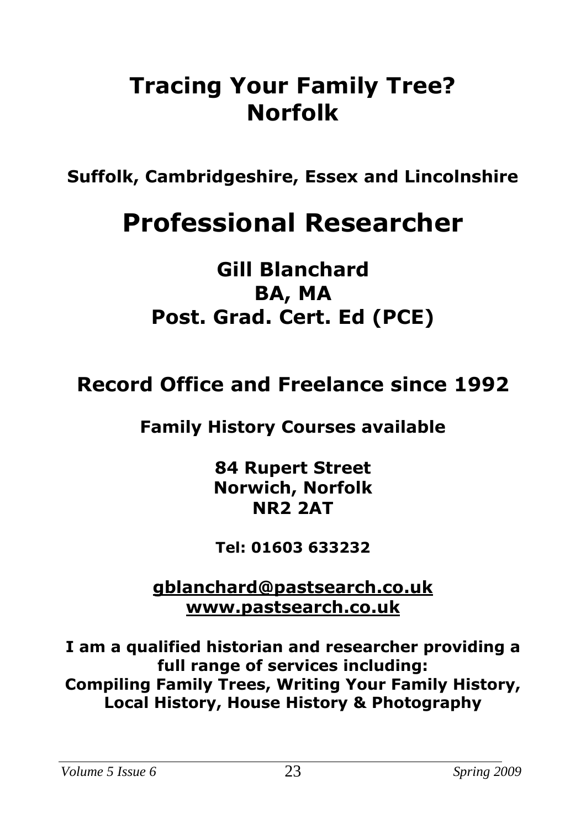# **Tracing Your Family Tree? Norfolk**

**Suffolk, Cambridgeshire, Essex and Lincolnshire**

# **Professional Researcher**

# **Gill Blanchard BA, MA Post. Grad. Cert. Ed (PCE)**

# **Record Office and Freelance since 1992**

# **Family History Courses available**

**84 Rupert Street Norwich, Norfolk NR2 2AT**

**Tel: 01603 633232**

**[gblanchard@pastsearch.co.uk](mailto:gblanchard@pastsearch.co.uk) [www.pastsearch.co.uk](http://www.pastsearch.co.uk/)**

**I am a qualified historian and researcher providing a full range of services including: Compiling Family Trees, Writing Your Family History, Local History, House History & Photography**